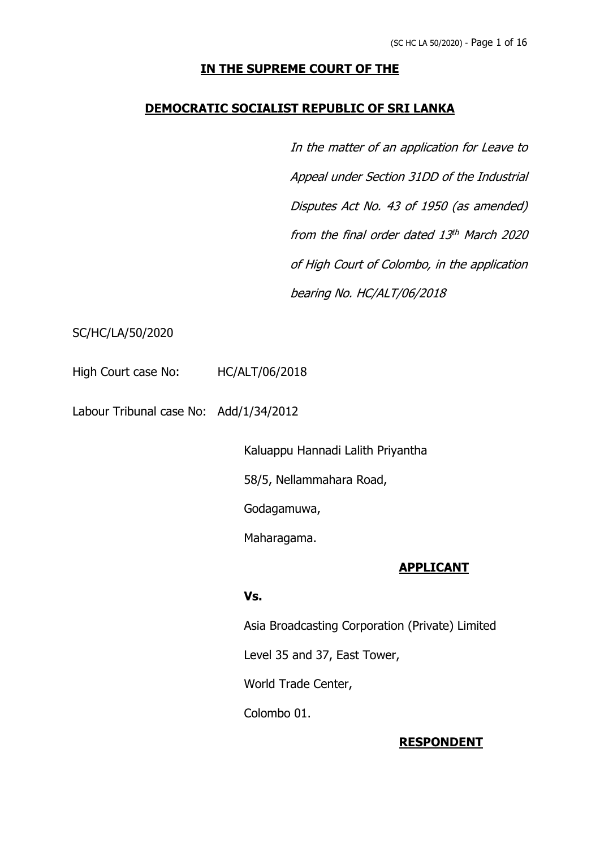# **IN THE SUPREME COURT OF THE**

## **DEMOCRATIC SOCIALIST REPUBLIC OF SRI LANKA**

In the matter of an application for Leave to Appeal under Section 31DD of the Industrial Disputes Act No. 43 of 1950 (as amended) from the final order dated 13 th March 2020 of High Court of Colombo, in the application bearing No. HC/ALT/06/2018

## SC/HC/LA/50/2020

High Court case No: HC/ALT/06/2018

Labour Tribunal case No: Add/1/34/2012

Kaluappu Hannadi Lalith Priyantha

58/5, Nellammahara Road,

Godagamuwa,

Maharagama.

## **APPLICANT**

## **Vs.**

Asia Broadcasting Corporation (Private) Limited

Level 35 and 37, East Tower,

World Trade Center,

Colombo 01.

## **RESPONDENT**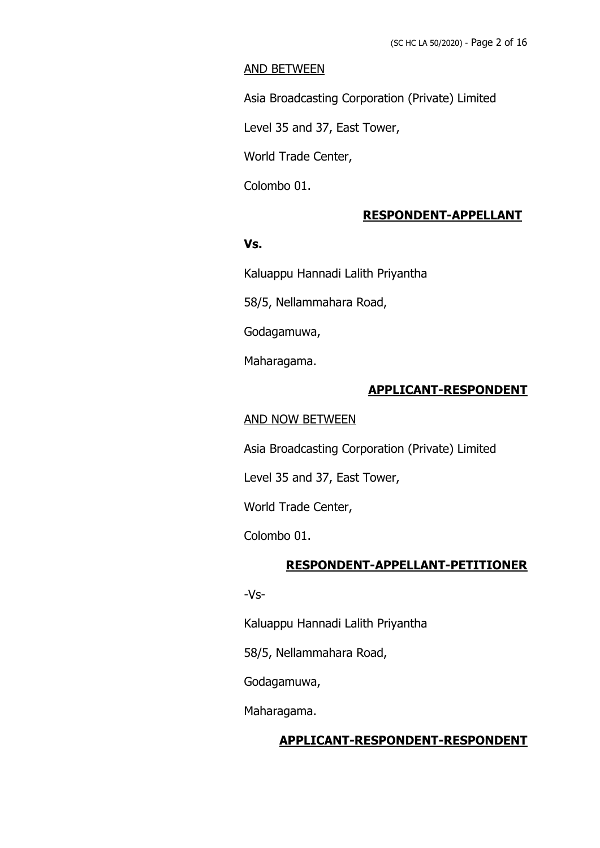## AND BETWEEN

Asia Broadcasting Corporation (Private) Limited

Level 35 and 37, East Tower,

World Trade Center,

Colombo 01.

## **RESPONDENT-APPELLANT**

## **Vs.**

Kaluappu Hannadi Lalith Priyantha

58/5, Nellammahara Road,

Godagamuwa,

Maharagama.

## **APPLICANT-RESPONDENT**

## AND NOW BETWEEN

Asia Broadcasting Corporation (Private) Limited

Level 35 and 37, East Tower,

World Trade Center,

Colombo 01.

#### **RESPONDENT-APPELLANT-PETITIONER**

-Vs-

Kaluappu Hannadi Lalith Priyantha

58/5, Nellammahara Road,

Godagamuwa,

Maharagama.

#### **APPLICANT-RESPONDENT-RESPONDENT**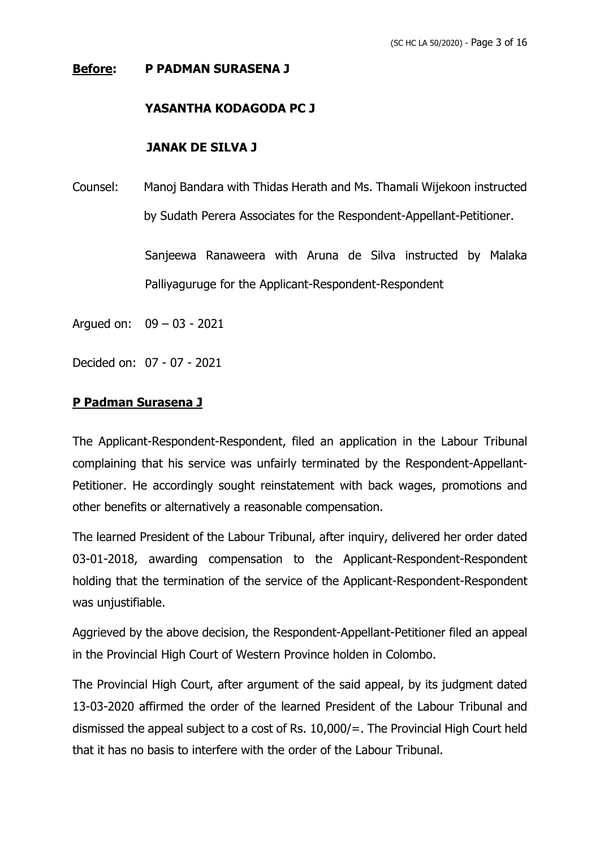## **Before: P PADMAN SURASENA J**

## **YASANTHA KODAGODA PC J**

## **JANAK DE SILVA J**

Counsel: Manoj Bandara with Thidas Herath and Ms. Thamali Wijekoon instructed by Sudath Perera Associates for the Respondent-Appellant-Petitioner.

> Sanjeewa Ranaweera with Aruna de Silva instructed by Malaka Palliyaguruge for the Applicant-Respondent-Respondent

Argued on: 09 – 03 - 2021

Decided on: 07 - 07 - 2021

## **P Padman Surasena J**

The Applicant-Respondent-Respondent, filed an application in the Labour Tribunal complaining that his service was unfairly terminated by the Respondent-Appellant-Petitioner. He accordingly sought reinstatement with back wages, promotions and other benefits or alternatively a reasonable compensation.

The learned President of the Labour Tribunal, after inquiry, delivered her order dated 03-01-2018, awarding compensation to the Applicant-Respondent-Respondent holding that the termination of the service of the Applicant-Respondent-Respondent was unjustifiable.

Aggrieved by the above decision, the Respondent-Appellant-Petitioner filed an appeal in the Provincial High Court of Western Province holden in Colombo.

The Provincial High Court, after argument of the said appeal, by its judgment dated 13-03-2020 affirmed the order of the learned President of the Labour Tribunal and dismissed the appeal subject to a cost of Rs. 10,000/=. The Provincial High Court held that it has no basis to interfere with the order of the Labour Tribunal.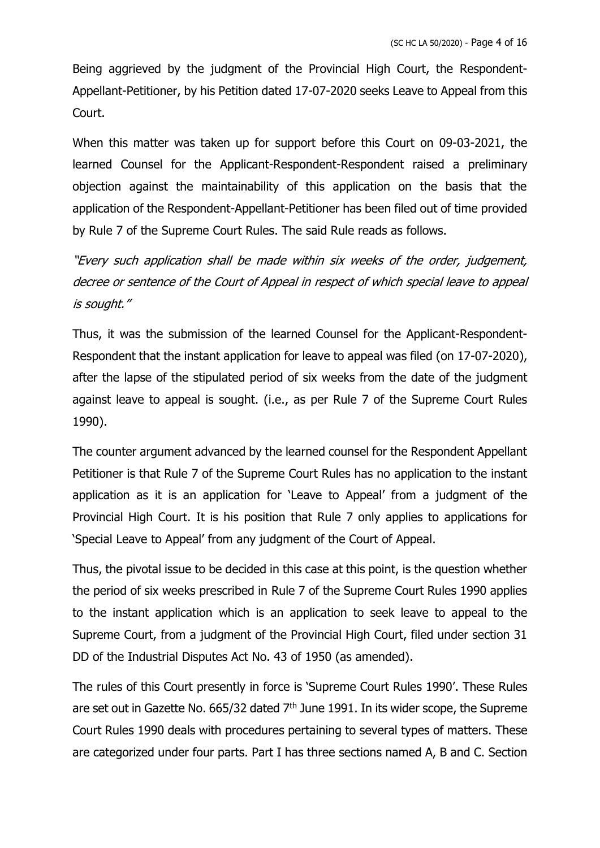Being aggrieved by the judgment of the Provincial High Court, the Respondent-Appellant-Petitioner, by his Petition dated 17-07-2020 seeks Leave to Appeal from this Court.

When this matter was taken up for support before this Court on 09-03-2021, the learned Counsel for the Applicant-Respondent-Respondent raised a preliminary objection against the maintainability of this application on the basis that the application of the Respondent-Appellant-Petitioner has been filed out of time provided by Rule 7 of the Supreme Court Rules. The said Rule reads as follows.

"Every such application shall be made within six weeks of the order, judgement, decree or sentence of the Court of Appeal in respect of which special leave to appeal is sought."

Thus, it was the submission of the learned Counsel for the Applicant-Respondent-Respondent that the instant application for leave to appeal was filed (on 17-07-2020), after the lapse of the stipulated period of six weeks from the date of the judgment against leave to appeal is sought. (i.e., as per Rule 7 of the Supreme Court Rules 1990).

The counter argument advanced by the learned counsel for the Respondent Appellant Petitioner is that Rule 7 of the Supreme Court Rules has no application to the instant application as it is an application for 'Leave to Appeal' from a judgment of the Provincial High Court. It is his position that Rule 7 only applies to applications for 'Special Leave to Appeal' from any judgment of the Court of Appeal.

Thus, the pivotal issue to be decided in this case at this point, is the question whether the period of six weeks prescribed in Rule 7 of the Supreme Court Rules 1990 applies to the instant application which is an application to seek leave to appeal to the Supreme Court, from a judgment of the Provincial High Court, filed under section 31 DD of the Industrial Disputes Act No. 43 of 1950 (as amended).

The rules of this Court presently in force is 'Supreme Court Rules 1990'. These Rules are set out in Gazette No. 665/32 dated  $7<sup>th</sup>$  June 1991. In its wider scope, the Supreme Court Rules 1990 deals with procedures pertaining to several types of matters. These are categorized under four parts. Part I has three sections named A, B and C. Section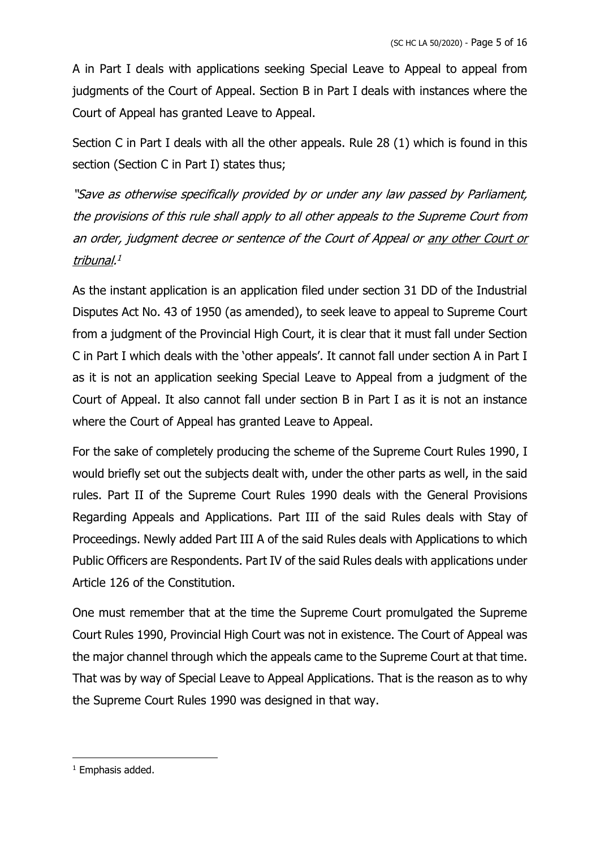A in Part I deals with applications seeking Special Leave to Appeal to appeal from judgments of the Court of Appeal. Section B in Part I deals with instances where the Court of Appeal has granted Leave to Appeal.

Section C in Part I deals with all the other appeals. Rule 28 (1) which is found in this section (Section C in Part I) states thus;

"Save as otherwise specifically provided by or under any law passed by Parliament, the provisions of this rule shall apply to all other appeals to the Supreme Court from an order, judgment decree or sentence of the Court of Appeal or any other Court or tribunal. 1

As the instant application is an application filed under section 31 DD of the Industrial Disputes Act No. 43 of 1950 (as amended), to seek leave to appeal to Supreme Court from a judgment of the Provincial High Court, it is clear that it must fall under Section C in Part I which deals with the 'other appeals'. It cannot fall under section A in Part I as it is not an application seeking Special Leave to Appeal from a judgment of the Court of Appeal. It also cannot fall under section B in Part I as it is not an instance where the Court of Appeal has granted Leave to Appeal.

For the sake of completely producing the scheme of the Supreme Court Rules 1990, I would briefly set out the subjects dealt with, under the other parts as well, in the said rules. Part II of the Supreme Court Rules 1990 deals with the General Provisions Regarding Appeals and Applications. Part III of the said Rules deals with Stay of Proceedings. Newly added Part III A of the said Rules deals with Applications to which Public Officers are Respondents. Part IV of the said Rules deals with applications under Article 126 of the Constitution.

One must remember that at the time the Supreme Court promulgated the Supreme Court Rules 1990, Provincial High Court was not in existence. The Court of Appeal was the major channel through which the appeals came to the Supreme Court at that time. That was by way of Special Leave to Appeal Applications. That is the reason as to why the Supreme Court Rules 1990 was designed in that way.

<sup>&</sup>lt;sup>1</sup> Emphasis added.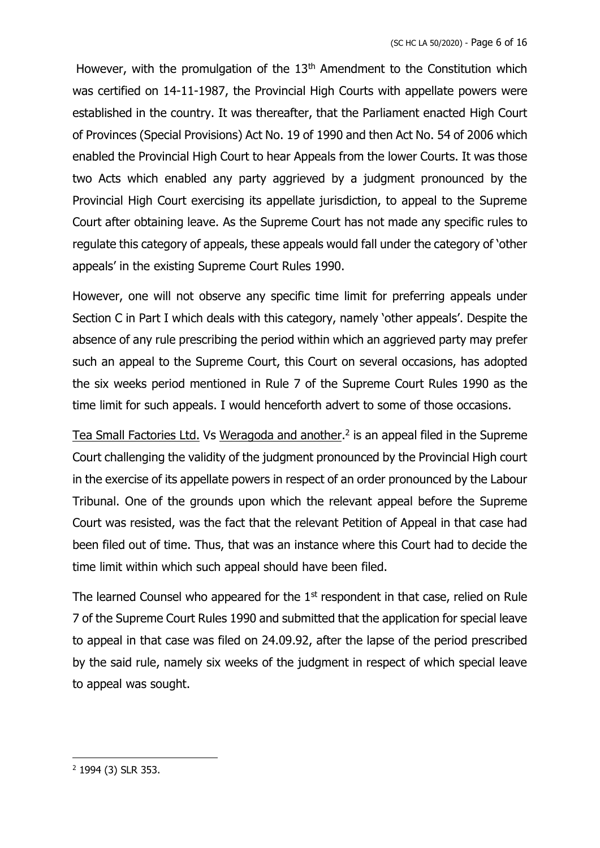However, with the promulgation of the 13<sup>th</sup> Amendment to the Constitution which was certified on 14-11-1987, the Provincial High Courts with appellate powers were established in the country. It was thereafter, that the Parliament enacted High Court of Provinces (Special Provisions) Act No. 19 of 1990 and then Act No. 54 of 2006 which enabled the Provincial High Court to hear Appeals from the lower Courts. It was those two Acts which enabled any party aggrieved by a judgment pronounced by the Provincial High Court exercising its appellate jurisdiction, to appeal to the Supreme Court after obtaining leave. As the Supreme Court has not made any specific rules to regulate this category of appeals, these appeals would fall under the category of 'other appeals' in the existing Supreme Court Rules 1990.

However, one will not observe any specific time limit for preferring appeals under Section C in Part I which deals with this category, namely 'other appeals'. Despite the absence of any rule prescribing the period within which an aggrieved party may prefer such an appeal to the Supreme Court, this Court on several occasions, has adopted the six weeks period mentioned in Rule 7 of the Supreme Court Rules 1990 as the time limit for such appeals. I would henceforth advert to some of those occasions.

Tea Small Factories Ltd. Vs Weragoda and another.<sup>2</sup> is an appeal filed in the Supreme Court challenging the validity of the judgment pronounced by the Provincial High court in the exercise of its appellate powers in respect of an order pronounced by the Labour Tribunal. One of the grounds upon which the relevant appeal before the Supreme Court was resisted, was the fact that the relevant Petition of Appeal in that case had been filed out of time. Thus, that was an instance where this Court had to decide the time limit within which such appeal should have been filed.

The learned Counsel who appeared for the  $1<sup>st</sup>$  respondent in that case, relied on Rule 7 of the Supreme Court Rules 1990 and submitted that the application for special leave to appeal in that case was filed on 24.09.92, after the lapse of the period prescribed by the said rule, namely six weeks of the judgment in respect of which special leave to appeal was sought.

<sup>2</sup> 1994 (3) SLR 353.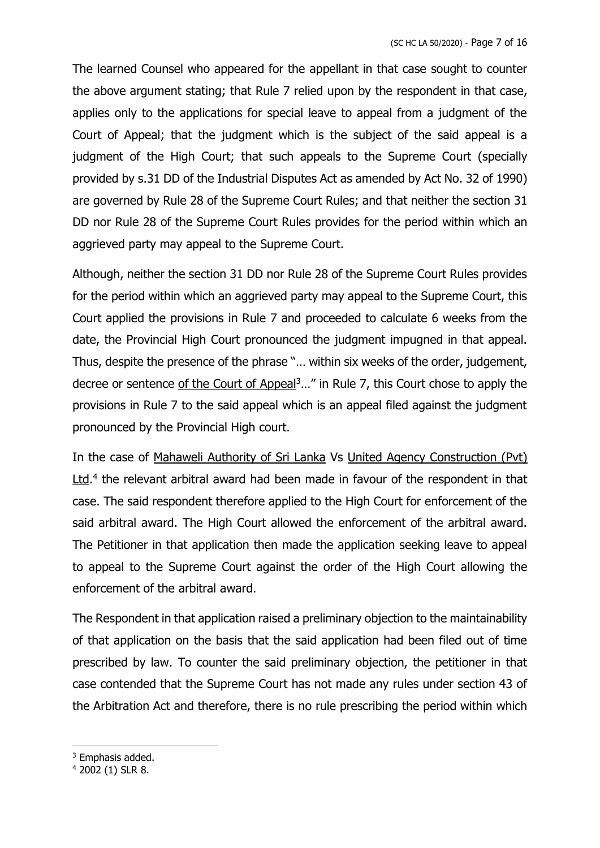The learned Counsel who appeared for the appellant in that case sought to counter the above argument stating; that Rule 7 relied upon by the respondent in that case, applies only to the applications for special leave to appeal from a judgment of the Court of Appeal; that the judgment which is the subject of the said appeal is a judgment of the High Court; that such appeals to the Supreme Court (specially provided by s.31 DD of the Industrial Disputes Act as amended by Act No. 32 of 1990) are governed by Rule 28 of the Supreme Court Rules; and that neither the section 31 DD nor Rule 28 of the Supreme Court Rules provides for the period within which an aggrieved party may appeal to the Supreme Court.

Although, neither the section 31 DD nor Rule 28 of the Supreme Court Rules provides for the period within which an aggrieved party may appeal to the Supreme Court, this Court applied the provisions in Rule 7 and proceeded to calculate 6 weeks from the date, the Provincial High Court pronounced the judgment impugned in that appeal. Thus, despite the presence of the phrase "… within six weeks of the order, judgement, decree or sentence of the Court of Appeal<sup>3</sup>..." in Rule 7, this Court chose to apply the provisions in Rule 7 to the said appeal which is an appeal filed against the judgment pronounced by the Provincial High court.

In the case of Mahaweli Authority of Sri Lanka Vs United Agency Construction (Pvt) Ltd.<sup>4</sup> the relevant arbitral award had been made in favour of the respondent in that case. The said respondent therefore applied to the High Court for enforcement of the said arbitral award. The High Court allowed the enforcement of the arbitral award. The Petitioner in that application then made the application seeking leave to appeal to appeal to the Supreme Court against the order of the High Court allowing the enforcement of the arbitral award.

The Respondent in that application raised a preliminary objection to the maintainability of that application on the basis that the said application had been filed out of time prescribed by law. To counter the said preliminary objection, the petitioner in that case contended that the Supreme Court has not made any rules under section 43 of the Arbitration Act and therefore, there is no rule prescribing the period within which

<sup>&</sup>lt;sup>3</sup> Emphasis added.

<sup>4</sup> 2002 (1) SLR 8.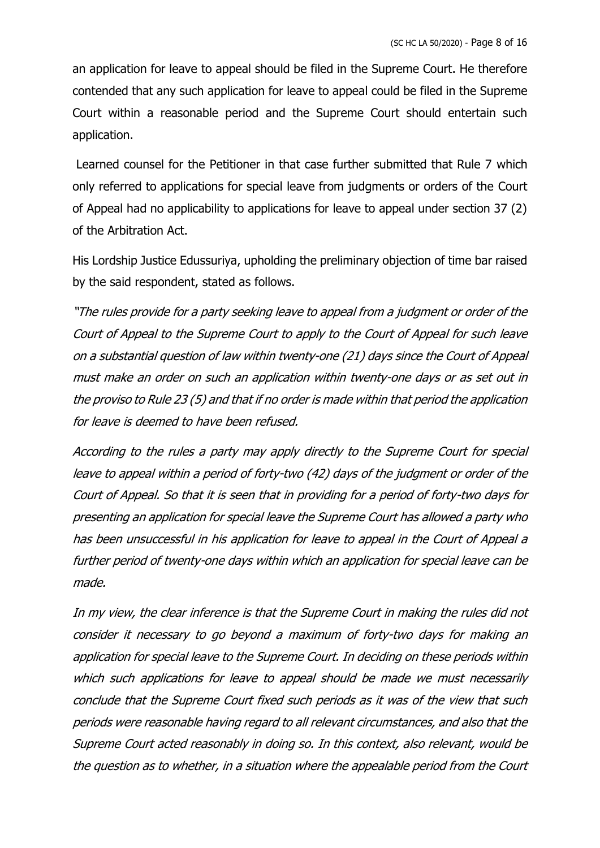an application for leave to appeal should be filed in the Supreme Court. He therefore contended that any such application for leave to appeal could be filed in the Supreme Court within a reasonable period and the Supreme Court should entertain such application.

Learned counsel for the Petitioner in that case further submitted that Rule 7 which only referred to applications for special leave from judgments or orders of the Court of Appeal had no applicability to applications for leave to appeal under section 37 (2) of the Arbitration Act.

His Lordship Justice Edussuriya, upholding the preliminary objection of time bar raised by the said respondent, stated as follows.

"The rules provide for a party seeking leave to appeal from a judgment or order of the Court of Appeal to the Supreme Court to apply to the Court of Appeal for such leave on a substantial question of law within twenty-one (21) days since the Court of Appeal must make an order on such an application within twenty-one days or as set out in the proviso to Rule 23 (5) and that if no order is made within that period the application for leave is deemed to have been refused.

According to the rules a party may apply directly to the Supreme Court for special leave to appeal within a period of forty-two (42) days of the judgment or order of the Court of Appeal. So that it is seen that in providing for a period of forty-two days for presenting an application for special leave the Supreme Court has allowed a party who has been unsuccessful in his application for leave to appeal in the Court of Appeal a further period of twenty-one days within which an application for special leave can be made.

In my view, the clear inference is that the Supreme Court in making the rules did not consider it necessary to go beyond a maximum of forty-two days for making an application for special leave to the Supreme Court. In deciding on these periods within which such applications for leave to appeal should be made we must necessarily conclude that the Supreme Court fixed such periods as it was of the view that such periods were reasonable having regard to all relevant circumstances, and also that the Supreme Court acted reasonably in doing so. In this context, also relevant, would be the question as to whether, in a situation where the appealable period from the Court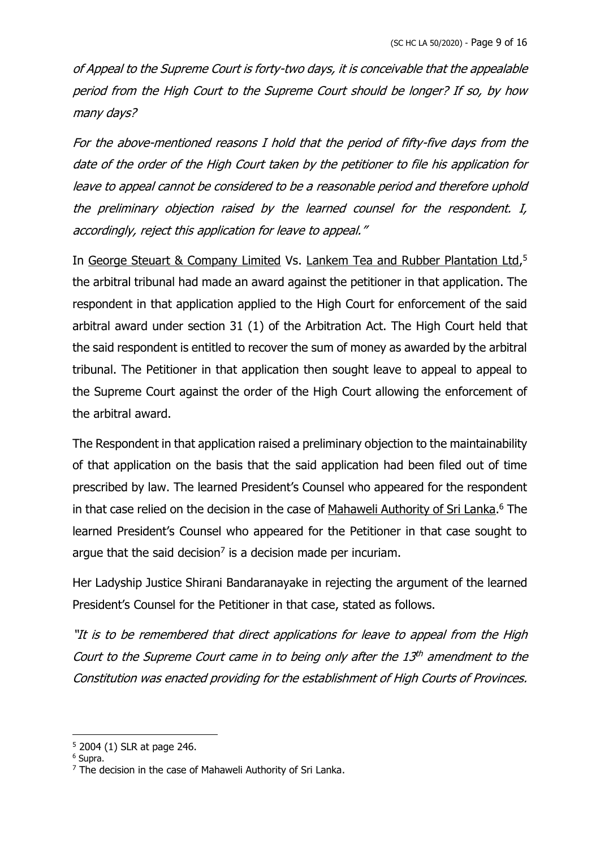of Appeal to the Supreme Court is forty-two days, it is conceivable that the appealable period from the High Court to the Supreme Court should be longer? If so, by how many days?

For the above-mentioned reasons I hold that the period of fifty-five days from the date of the order of the High Court taken by the petitioner to file his application for leave to appeal cannot be considered to be a reasonable period and therefore uphold the preliminary objection raised by the learned counsel for the respondent. I, accordingly, reject this application for leave to appeal."

In George Steuart & Company Limited Vs. Lankem Tea and Rubber Plantation Ltd,<sup>5</sup> the arbitral tribunal had made an award against the petitioner in that application. The respondent in that application applied to the High Court for enforcement of the said arbitral award under section 31 (1) of the Arbitration Act. The High Court held that the said respondent is entitled to recover the sum of money as awarded by the arbitral tribunal. The Petitioner in that application then sought leave to appeal to appeal to the Supreme Court against the order of the High Court allowing the enforcement of the arbitral award.

The Respondent in that application raised a preliminary objection to the maintainability of that application on the basis that the said application had been filed out of time prescribed by law. The learned President's Counsel who appeared for the respondent in that case relied on the decision in the case of Mahaweli Authority of Sri Lanka.<sup>6</sup> The learned President's Counsel who appeared for the Petitioner in that case sought to argue that the said decision<sup>7</sup> is a decision made per incuriam.

Her Ladyship Justice Shirani Bandaranayake in rejecting the argument of the learned President's Counsel for the Petitioner in that case, stated as follows.

"It is to be remembered that direct applications for leave to appeal from the High Court to the Supreme Court came in to being only after the 13<sup>th</sup> amendment to the Constitution was enacted providing for the establishment of High Courts of Provinces.

<sup>5</sup> 2004 (1) SLR at page 246.

<sup>6</sup> Supra.

 $7$  The decision in the case of Mahaweli Authority of Sri Lanka.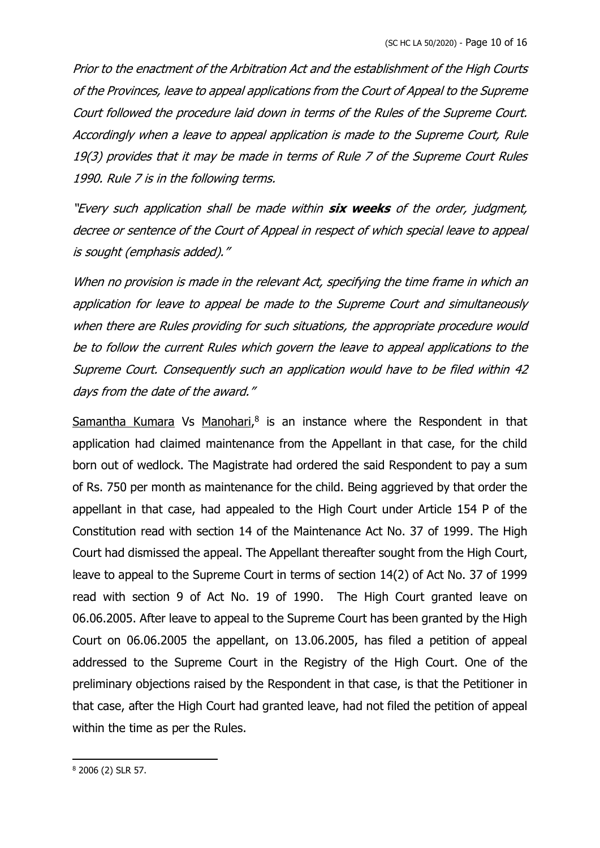Prior to the enactment of the Arbitration Act and the establishment of the High Courts of the Provinces, leave to appeal applications from the Court of Appeal to the Supreme Court followed the procedure laid down in terms of the Rules of the Supreme Court. Accordingly when a leave to appeal application is made to the Supreme Court, Rule 19(3) provides that it may be made in terms of Rule 7 of the Supreme Court Rules 1990. Rule 7 is in the following terms.

"Every such application shall be made within **six weeks** of the order, judgment, decree or sentence of the Court of Appeal in respect of which special leave to appeal is sought (emphasis added)."

When no provision is made in the relevant Act, specifying the time frame in which an application for leave to appeal be made to the Supreme Court and simultaneously when there are Rules providing for such situations, the appropriate procedure would be to follow the current Rules which govern the leave to appeal applications to the Supreme Court. Consequently such an application would have to be filed within 42 days from the date of the award."

Samantha Kumara Vs Manohari,<sup>8</sup> is an instance where the Respondent in that application had claimed maintenance from the Appellant in that case, for the child born out of wedlock. The Magistrate had ordered the said Respondent to pay a sum of Rs. 750 per month as maintenance for the child. Being aggrieved by that order the appellant in that case, had appealed to the High Court under Article 154 P of the Constitution read with section 14 of the Maintenance Act No. 37 of 1999. The High Court had dismissed the appeal. The Appellant thereafter sought from the High Court, leave to appeal to the Supreme Court in terms of section 14(2) of Act No. 37 of 1999 read with section 9 of Act No. 19 of 1990. The High Court granted leave on 06.06.2005. After leave to appeal to the Supreme Court has been granted by the High Court on 06.06.2005 the appellant, on 13.06.2005, has filed a petition of appeal addressed to the Supreme Court in the Registry of the High Court. One of the preliminary objections raised by the Respondent in that case, is that the Petitioner in that case, after the High Court had granted leave, had not filed the petition of appeal within the time as per the Rules.

<sup>8</sup> 2006 (2) SLR 57.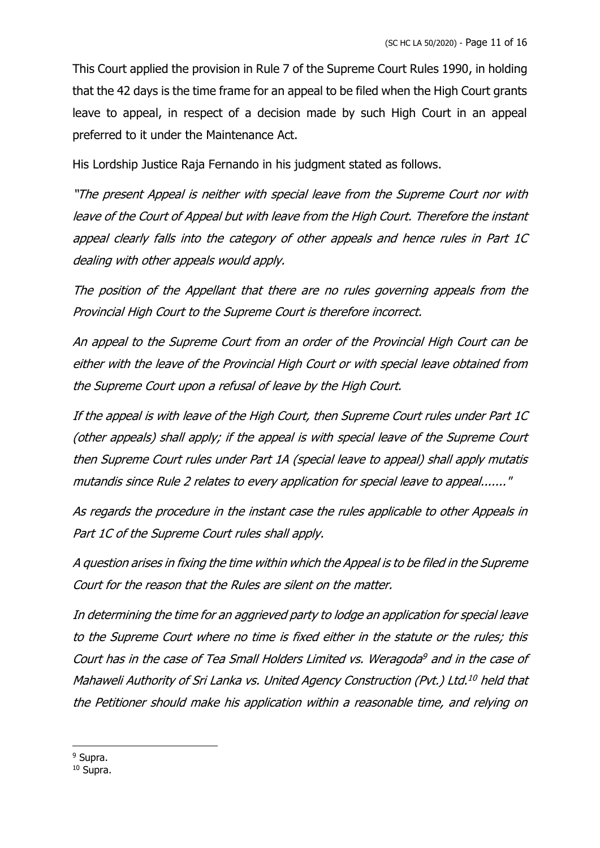This Court applied the provision in Rule 7 of the Supreme Court Rules 1990, in holding that the 42 days is the time frame for an appeal to be filed when the High Court grants leave to appeal, in respect of a decision made by such High Court in an appeal preferred to it under the Maintenance Act.

His Lordship Justice Raja Fernando in his judgment stated as follows.

"The present Appeal is neither with special leave from the Supreme Court nor with leave of the Court of Appeal but with leave from the High Court. Therefore the instant appeal clearly falls into the category of other appeals and hence rules in Part 1C dealing with other appeals would apply.

The position of the Appellant that there are no rules governing appeals from the Provincial High Court to the Supreme Court is therefore incorrect.

An appeal to the Supreme Court from an order of the Provincial High Court can be either with the leave of the Provincial High Court or with special leave obtained from the Supreme Court upon a refusal of leave by the High Court.

If the appeal is with leave of the High Court, then Supreme Court rules under Part 1C (other appeals) shall apply; if the appeal is with special leave of the Supreme Court then Supreme Court rules under Part 1A (special leave to appeal) shall apply mutatis mutandis since Rule 2 relates to every application for special leave to appeal......."

As regards the procedure in the instant case the rules applicable to other Appeals in Part 1C of the Supreme Court rules shall apply.

A question arises in fixing the time within which the Appeal is to be filed in the Supreme Court for the reason that the Rules are silent on the matter.

In determining the time for an aggrieved party to lodge an application for special leave to the Supreme Court where no time is fixed either in the statute or the rules; this Court has in the case of Tea Small Holders Limited vs. Weragoda <sup>9</sup> and in the case of Mahaweli Authority of Sri Lanka vs. United Agency Construction (Pvt.) Ltd. <sup>10</sup> held that the Petitioner should make his application within a reasonable time, and relying on

<sup>&</sup>lt;sup>9</sup> Supra.

<sup>10</sup> Supra.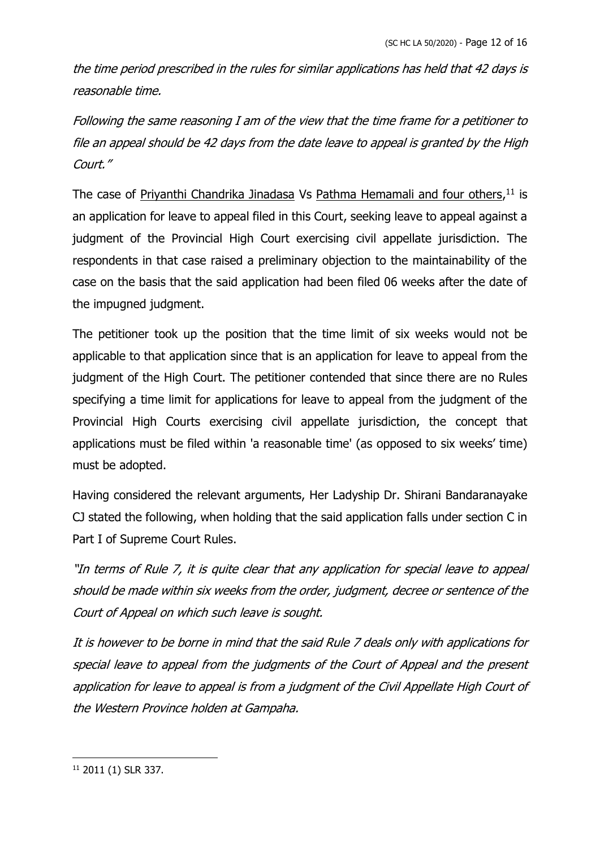the time period prescribed in the rules for similar applications has held that 42 days is reasonable time.

Following the same reasoning I am of the view that the time frame for a petitioner to file an appeal should be 42 days from the date leave to appeal is granted by the High Court."

The case of Priyanthi Chandrika Jinadasa Vs Pathma Hemamali and four others,<sup>11</sup> is an application for leave to appeal filed in this Court, seeking leave to appeal against a judgment of the Provincial High Court exercising civil appellate jurisdiction. The respondents in that case raised a preliminary objection to the maintainability of the case on the basis that the said application had been filed 06 weeks after the date of the impugned judgment.

The petitioner took up the position that the time limit of six weeks would not be applicable to that application since that is an application for leave to appeal from the judgment of the High Court. The petitioner contended that since there are no Rules specifying a time limit for applications for leave to appeal from the judgment of the Provincial High Courts exercising civil appellate jurisdiction, the concept that applications must be filed within 'a reasonable time' (as opposed to six weeks' time) must be adopted.

Having considered the relevant arguments, Her Ladyship Dr. Shirani Bandaranayake CJ stated the following, when holding that the said application falls under section C in Part I of Supreme Court Rules.

"In terms of Rule 7, it is quite clear that any application for special leave to appeal should be made within six weeks from the order, judgment, decree or sentence of the Court of Appeal on which such leave is sought.

It is however to be borne in mind that the said Rule 7 deals only with applications for special leave to appeal from the judgments of the Court of Appeal and the present application for leave to appeal is from <sup>a</sup> judgment of the Civil Appellate High Court of the Western Province holden at Gampaha.

<sup>11</sup> 2011 (1) SLR 337.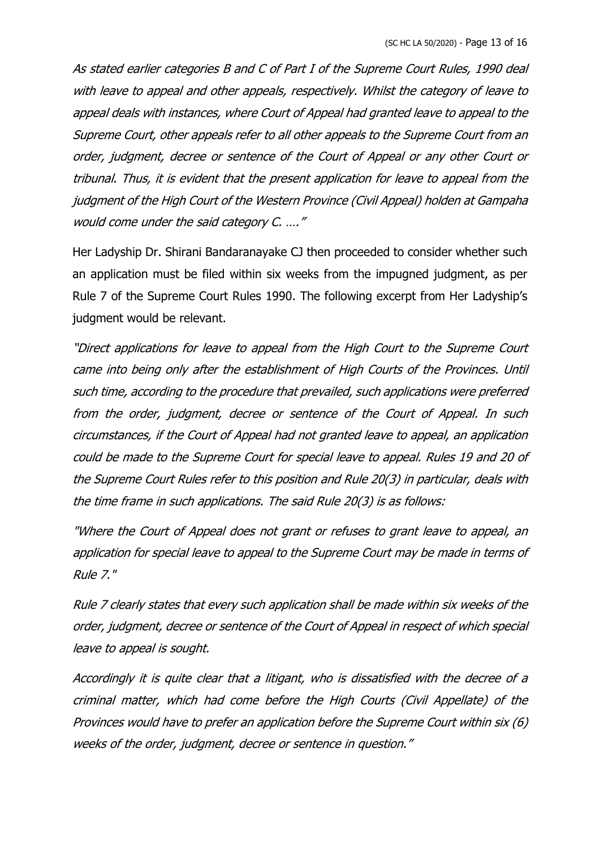As stated earlier categories B and C of Part I of the Supreme Court Rules, 1990 deal with leave to appeal and other appeals, respectively. Whilst the category of leave to appeal deals with instances, where Court of Appeal had granted leave to appeal to the Supreme Court, other appeals refer to all other appeals to the Supreme Court from an order, judgment, decree or sentence of the Court of Appeal or any other Court or tribunal. Thus, it is evident that the present application for leave to appeal from the judgment of the High Court of the Western Province (Civil Appeal) holden at Gampaha would come under the said category C. …."

Her Ladyship Dr. Shirani Bandaranayake CJ then proceeded to consider whether such an application must be filed within six weeks from the impugned judgment, as per Rule 7 of the Supreme Court Rules 1990. The following excerpt from Her Ladyship's judgment would be relevant.

"Direct applications for leave to appeal from the High Court to the Supreme Court came into being only after the establishment of High Courts of the Provinces. Until such time, according to the procedure that prevailed, such applications were preferred from the order, judgment, decree or sentence of the Court of Appeal. In such circumstances, if the Court of Appeal had not granted leave to appeal, an application could be made to the Supreme Court for special leave to appeal. Rules 19 and 20 of the Supreme Court Rules refer to this position and Rule 20(3) in particular, deals with the time frame in such applications. The said Rule 20(3) is as follows:

"Where the Court of Appeal does not grant or refuses to grant leave to appeal, an application for special leave to appeal to the Supreme Court may be made in terms of Rule 7."

Rule 7 clearly states that every such application shall be made within six weeks of the order, judgment, decree or sentence of the Court of Appeal in respect of which special leave to appeal is sought.

Accordingly it is quite clear that <sup>a</sup> litigant, who is dissatisfied with the decree of <sup>a</sup> criminal matter, which had come before the High Courts (Civil Appellate) of the Provinces would have to prefer an application before the Supreme Court within six (6) weeks of the order, judgment, decree or sentence in question."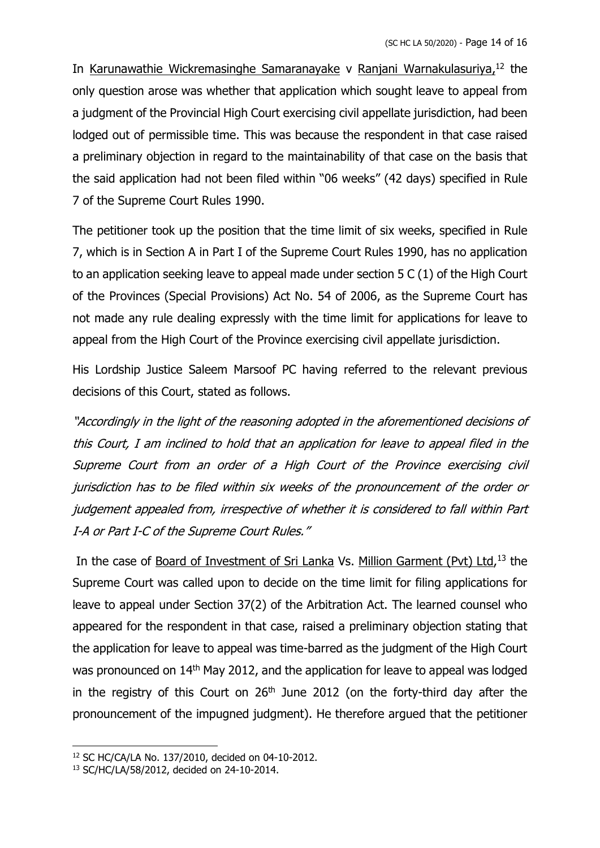In Karunawathie Wickremasinghe Samaranayake v Ranjani Warnakulasuriya,<sup>12</sup> the only question arose was whether that application which sought leave to appeal from a judgment of the Provincial High Court exercising civil appellate jurisdiction, had been lodged out of permissible time. This was because the respondent in that case raised a preliminary objection in regard to the maintainability of that case on the basis that the said application had not been filed within "06 weeks" (42 days) specified in Rule 7 of the Supreme Court Rules 1990.

The petitioner took up the position that the time limit of six weeks, specified in Rule 7, which is in Section A in Part I of the Supreme Court Rules 1990, has no application to an application seeking leave to appeal made under section 5 C (1) of the High Court of the Provinces (Special Provisions) Act No. 54 of 2006, as the Supreme Court has not made any rule dealing expressly with the time limit for applications for leave to appeal from the High Court of the Province exercising civil appellate jurisdiction.

His Lordship Justice Saleem Marsoof PC having referred to the relevant previous decisions of this Court, stated as follows.

"Accordingly in the light of the reasoning adopted in the aforementioned decisions of this Court, I am inclined to hold that an application for leave to appeal filed in the Supreme Court from an order of <sup>a</sup> High Court of the Province exercising civil jurisdiction has to be filed within six weeks of the pronouncement of the order or judgement appealed from, irrespective of whether it is considered to fall within Part I-A or Part I-C of the Supreme Court Rules."

In the case of Board of Investment of Sri Lanka Vs. Million Garment (Pvt) Ltd,<sup>13</sup> the Supreme Court was called upon to decide on the time limit for filing applications for leave to appeal under Section 37(2) of the Arbitration Act. The learned counsel who appeared for the respondent in that case, raised a preliminary objection stating that the application for leave to appeal was time-barred as the judgment of the High Court was pronounced on 14th May 2012, and the application for leave to appeal was lodged in the registry of this Court on 26<sup>th</sup> June 2012 (on the forty-third day after the pronouncement of the impugned judgment). He therefore argued that the petitioner

<sup>12</sup> SC HC/CA/LA No. 137/2010, decided on 04-10-2012.

<sup>13</sup> SC/HC/LA/58/2012, decided on 24-10-2014.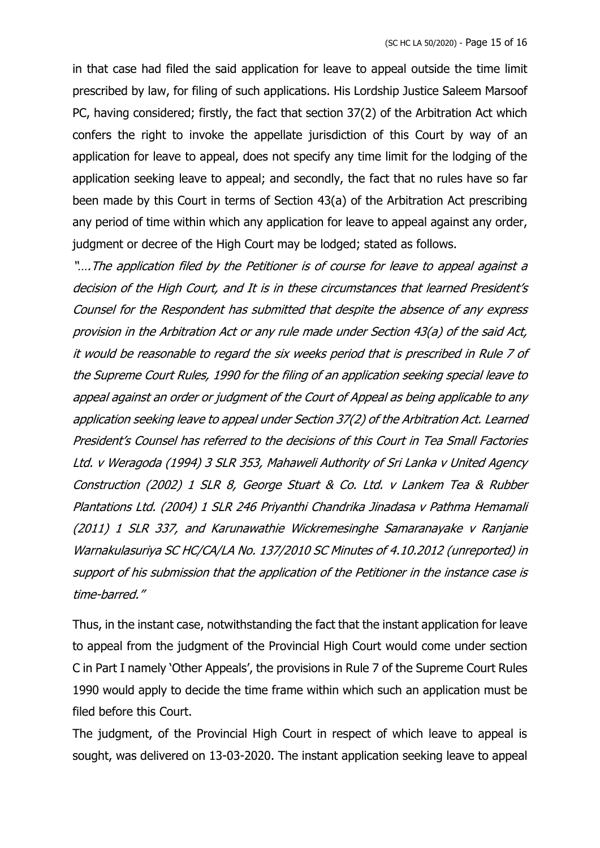in that case had filed the said application for leave to appeal outside the time limit prescribed by law, for filing of such applications. His Lordship Justice Saleem Marsoof PC, having considered; firstly, the fact that section 37(2) of the Arbitration Act which confers the right to invoke the appellate jurisdiction of this Court by way of an application for leave to appeal, does not specify any time limit for the lodging of the application seeking leave to appeal; and secondly, the fact that no rules have so far been made by this Court in terms of Section 43(a) of the Arbitration Act prescribing any period of time within which any application for leave to appeal against any order, judgment or decree of the High Court may be lodged; stated as follows.

"….The application filed by the Petitioner is of course for leave to appeal against a decision of the High Court, and It is in these circumstances that learned President's Counsel for the Respondent has submitted that despite the absence of any express provision in the Arbitration Act or any rule made under Section 43(a) of the said Act, it would be reasonable to regard the six weeks period that is prescribed in Rule 7 of the Supreme Court Rules, 1990 for the filing of an application seeking special leave to appeal against an order or judgment of the Court of Appeal as being applicable to any application seeking leave to appeal under Section 37(2) of the Arbitration Act. Learned President's Counsel has referred to the decisions of this Court in Tea Small Factories Ltd. v Weragoda (1994) 3 SLR 353, Mahaweli Authority of Sri Lanka v United Agency Construction (2002) 1 SLR 8, George Stuart & Co. Ltd. v Lankem Tea & Rubber Plantations Ltd. (2004) 1 SLR 246 Priyanthi Chandrika Jinadasa v Pathma Hemamali (2011) 1 SLR 337, and Karunawathie Wickremesinghe Samaranayake v Ranjanie Warnakulasuriya SC HC/CA/LA No. 137/2010 SC Minutes of 4.10.2012 (unreported) in support of his submission that the application of the Petitioner in the instance case is time-barred."

Thus, in the instant case, notwithstanding the fact that the instant application for leave to appeal from the judgment of the Provincial High Court would come under section C in Part I namely 'Other Appeals', the provisions in Rule 7 of the Supreme Court Rules 1990 would apply to decide the time frame within which such an application must be filed before this Court.

The judgment, of the Provincial High Court in respect of which leave to appeal is sought, was delivered on 13-03-2020. The instant application seeking leave to appeal